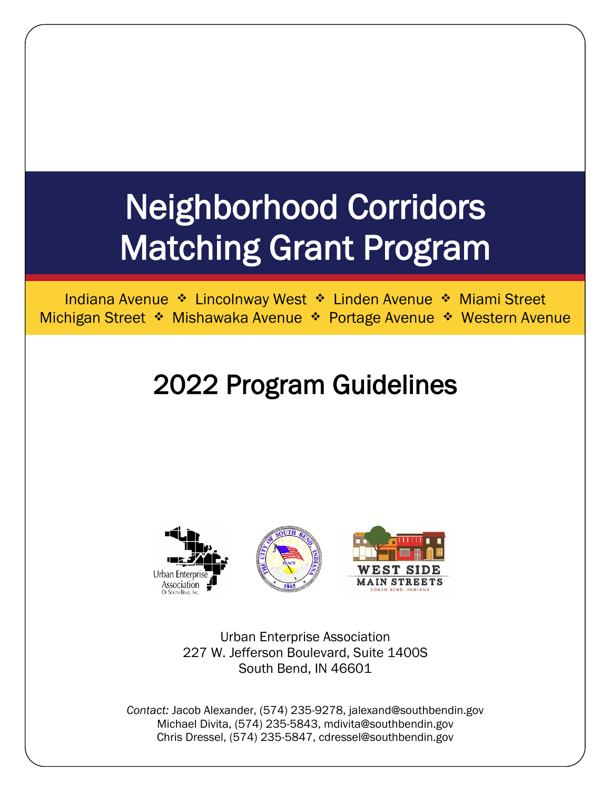# Neighborhood Corridors Matching Grant Program

Indiana Avenue ❖ Lincolnway West ❖ Linden Avenue ❖ Miami Street Michigan Street ❖ Mishawaka Avenue ❖ Portage Avenue ❖ Western Avenue

## 2022 Program Guidelines



Urban Enterprise Association 227 W. Jefferson Boulevard, Suite 1400S South Bend, IN 46601

*Contact:* Jacob Alexander, (574) 235-9278, jalexand@southbendin.gov Michael Divita, (574) 235-5843, mdivita@southbendin.gov Chris Dressel, (574) 235-5847, cdressel@southbendin.gov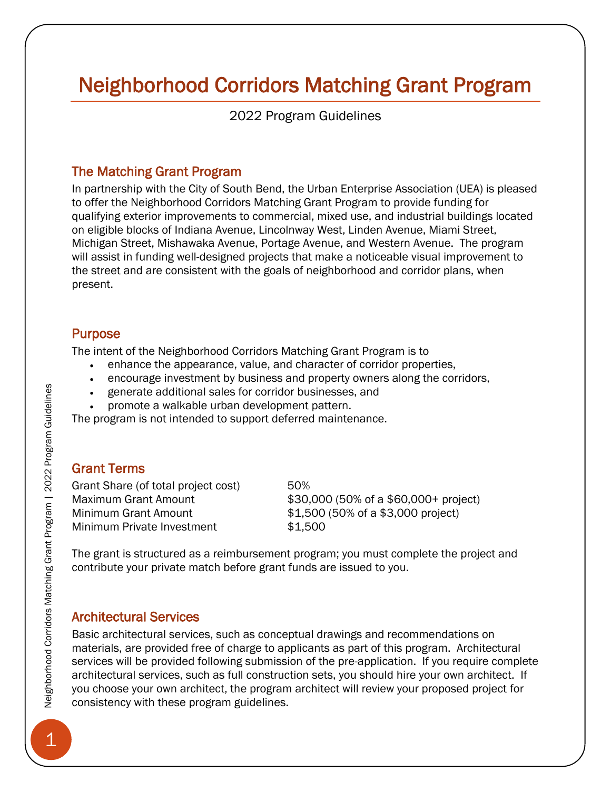### Neighborhood Corridors Matching Grant Program

2022 Program Guidelines

#### The Matching Grant Program

In partnership with the City of South Bend, the Urban Enterprise Association (UEA) is pleased to offer the Neighborhood Corridors Matching Grant Program to provide funding for qualifying exterior improvements to commercial, mixed use, and industrial buildings located on eligible blocks of Indiana Avenue, Lincolnway West, Linden Avenue, Miami Street, Michigan Street, Mishawaka Avenue, Portage Avenue, and Western Avenue. The program will assist in funding well-designed projects that make a noticeable visual improvement to the street and are consistent with the goals of neighborhood and corridor plans, when present.

#### Purpose

The intent of the Neighborhood Corridors Matching Grant Program is to

- enhance the appearance, value, and character of corridor properties,
- encourage investment by business and property owners along the corridors,
- generate additional sales for corridor businesses, and
- promote a walkable urban development pattern.

The program is not intended to support deferred maintenance.

#### Grant Terms

Grant Share (of total project cost) 50% Minimum Private Investment \$1,500

Maximum Grant Amount \$30,000 (50% of a \$60,000+ project) Minimum Grant Amount \$1,500 (50% of a \$3,000 project)

The grant is structured as a reimbursement program; you must complete the project and contribute your private match before grant funds are issued to you.

#### Architectural Services

Basic architectural services, such as conceptual drawings and recommendations on materials, are provided free of charge to applicants as part of this program. Architectural services will be provided following submission of the pre-application. If you require complete architectural services, such as full construction sets, you should hire your own architect. If you choose your own architect, the program architect will review your proposed project for consistency with these program guidelines.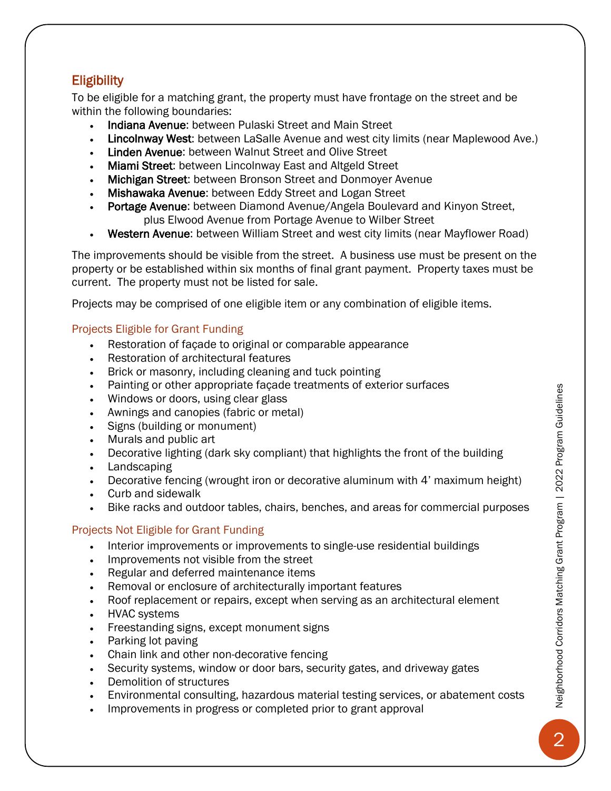#### **Eligibility**

To be eligible for a matching grant, the property must have frontage on the street and be within the following boundaries:

- Indiana Avenue: between Pulaski Street and Main Street
- Lincolnway West: between LaSalle Avenue and west city limits (near Maplewood Ave.)
- Linden Avenue: between Walnut Street and Olive Street
- Miami Street: between Lincolnway East and Altgeld Street
- Michigan Street: between Bronson Street and Donmoyer Avenue
- Mishawaka Avenue: between Eddy Street and Logan Street
- Portage Avenue: between Diamond Avenue/Angela Boulevard and Kinyon Street, plus Elwood Avenue from Portage Avenue to Wilber Street
- Western Avenue: between William Street and west city limits (near Mayflower Road)

The improvements should be visible from the street. A business use must be present on the property or be established within six months of final grant payment. Property taxes must be current. The property must not be listed for sale.

Projects may be comprised of one eligible item or any combination of eligible items.

#### Projects Eligible for Grant Funding

- Restoration of façade to original or comparable appearance
- Restoration of architectural features
- Brick or masonry, including cleaning and tuck pointing
- Painting or other appropriate façade treatments of exterior surfaces
- Windows or doors, using clear glass
- Awnings and canopies (fabric or metal)
- Signs (building or monument)
- Murals and public art
- Decorative lighting (dark sky compliant) that highlights the front of the building
- Landscaping
- Decorative fencing (wrought iron or decorative aluminum with 4' maximum height)
- Curb and sidewalk
- Bike racks and outdoor tables, chairs, benches, and areas for commercial purposes

#### Projects Not Eligible for Grant Funding

- Interior improvements or improvements to single-use residential buildings
- Improvements not visible from the street
- Regular and deferred maintenance items
- Removal or enclosure of architecturally important features
- Roof replacement or repairs, except when serving as an architectural element
- HVAC systems
- Freestanding signs, except monument signs
- Parking lot paving
- Chain link and other non-decorative fencing
- Security systems, window or door bars, security gates, and driveway gates
- Demolition of structures
- Environmental consulting, hazardous material testing services, or abatement costs
- Improvements in progress or completed prior to grant approval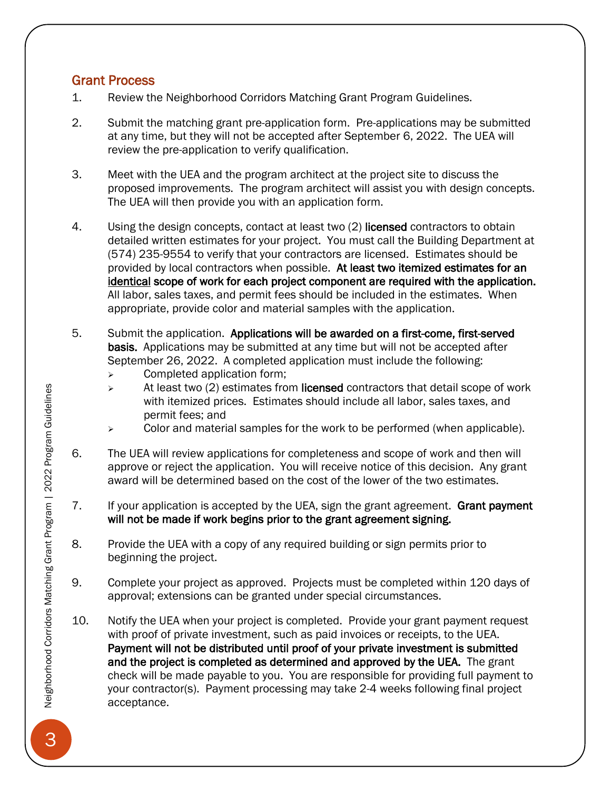#### Grant Process

- 1. Review the Neighborhood Corridors Matching Grant Program Guidelines.
- 2. Submit the matching grant pre-application form. Pre-applications may be submitted at any time, but they will not be accepted after September 6, 2022. The UEA will review the pre-application to verify qualification.
- 3. Meet with the UEA and the program architect at the project site to discuss the proposed improvements. The program architect will assist you with design concepts. The UEA will then provide you with an application form.
- 4. Using the design concepts, contact at least two (2) licensed contractors to obtain detailed written estimates for your project. You must call the Building Department at (574) 235-9554 to verify that your contractors are licensed. Estimates should be provided by local contractors when possible. At least two itemized estimates for an identical scope of work for each project component are required with the application. All labor, sales taxes, and permit fees should be included in the estimates. When appropriate, provide color and material samples with the application.
- 5. Submit the application. Applications will be awarded on a first-come, first-served basis. Applications may be submitted at any time but will not be accepted after September 26, 2022. A completed application must include the following:
	- ➢ Completed application form;
	- $\triangleright$  At least two (2) estimates from licensed contractors that detail scope of work with itemized prices. Estimates should include all labor, sales taxes, and permit fees; and
	- $\triangleright$  Color and material samples for the work to be performed (when applicable).
- 6. The UEA will review applications for completeness and scope of work and then will approve or reject the application. You will receive notice of this decision. Any grant award will be determined based on the cost of the lower of the two estimates.
- 7. If your application is accepted by the UEA, sign the grant agreement. Grant payment will not be made if work begins prior to the grant agreement signing.
- 8. Provide the UEA with a copy of any required building or sign permits prior to beginning the project.
- 9. Complete your project as approved. Projects must be completed within 120 days of approval; extensions can be granted under special circumstances.
- 10. Notify the UEA when your project is completed. Provide your grant payment request with proof of private investment, such as paid invoices or receipts, to the UEA. Payment will not be distributed until proof of your private investment is submitted and the project is completed as determined and approved by the UEA. The grant check will be made payable to you. You are responsible for providing full payment to your contractor(s). Payment processing may take 2-4 weeks following final project acceptance.